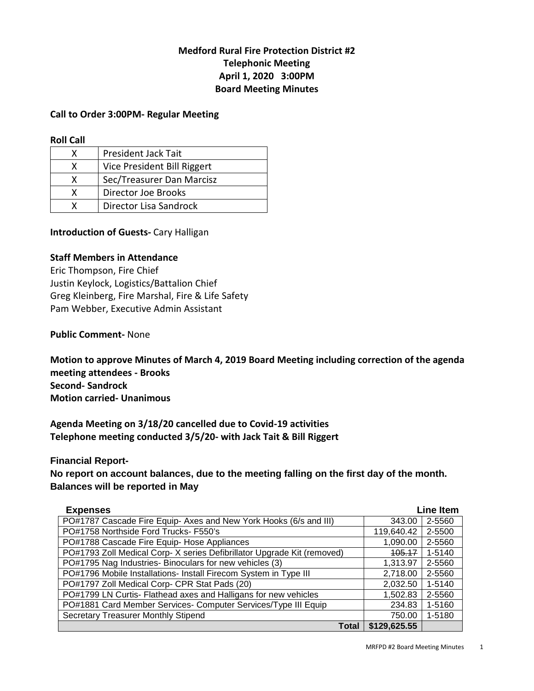# **Medford Rural Fire Protection District #2 Telephonic Meeting April 1, 2020 3:00PM Board Meeting Minutes**

## **Call to Order 3:00PM- Regular Meeting**

#### **Roll Call**

| χ | <b>President Jack Tait</b>  |
|---|-----------------------------|
| x | Vice President Bill Riggert |
| x | Sec/Treasurer Dan Marcisz   |
| x | Director Joe Brooks         |
|   | Director Lisa Sandrock      |

## **Introduction of Guests-** Cary Halligan

## **Staff Members in Attendance**

Eric Thompson, Fire Chief Justin Keylock, Logistics/Battalion Chief Greg Kleinberg, Fire Marshal, Fire & Life Safety Pam Webber, Executive Admin Assistant

## **Public Comment-** None

**Motion to approve Minutes of March 4, 2019 Board Meeting including correction of the agenda meeting attendees - Brooks Second- Sandrock Motion carried- Unanimous** 

**Agenda Meeting on 3/18/20 cancelled due to Covid-19 activities Telephone meeting conducted 3/5/20- with Jack Tait & Bill Riggert** 

#### **Financial Report-**

**No report on account balances, due to the meeting falling on the first day of the month. Balances will be reported in May** 

| <b>Expenses</b>                                                        | <b>Line Item</b> |        |
|------------------------------------------------------------------------|------------------|--------|
| PO#1787 Cascade Fire Equip- Axes and New York Hooks (6/s and III)      | 343.00           | 2-5560 |
| PO#1758 Northside Ford Trucks- F550's                                  | 119,640.42       | 2-5500 |
| PO#1788 Cascade Fire Equip- Hose Appliances                            | 1,090.00         | 2-5560 |
| PO#1793 Zoll Medical Corp-X series Defibrillator Upgrade Kit (removed) | 105.17           | 1-5140 |
| PO#1795 Nag Industries- Binoculars for new vehicles (3)                | 1,313.97         | 2-5560 |
| PO#1796 Mobile Installations- Install Firecom System in Type III       | 2,718.00         | 2-5560 |
| PO#1797 Zoll Medical Corp- CPR Stat Pads (20)                          | 2,032.50         | 1-5140 |
| PO#1799 LN Curtis- Flathead axes and Halligans for new vehicles        | 1,502.83         | 2-5560 |
| PO#1881 Card Member Services- Computer Services/Type III Equip         | 234.83           | 1-5160 |
| <b>Secretary Treasurer Monthly Stipend</b>                             | 750.00           | 1-5180 |
| Total                                                                  | \$129,625.55     |        |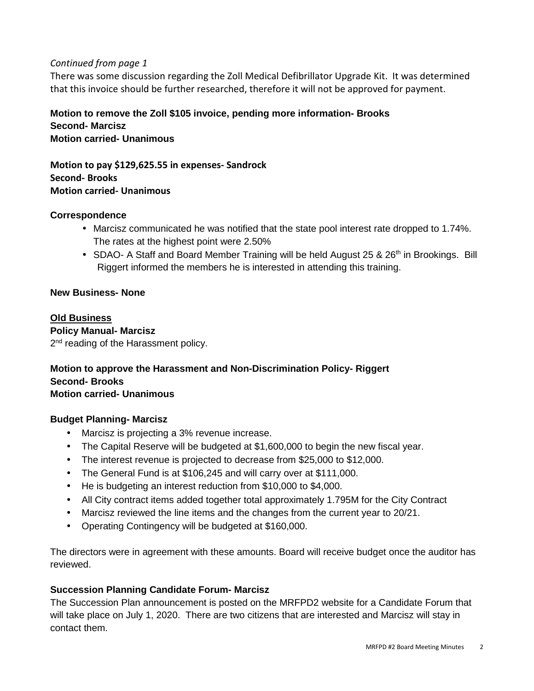## *Continued from page 1*

There was some discussion regarding the Zoll Medical Defibrillator Upgrade Kit. It was determined that this invoice should be further researched, therefore it will not be approved for payment.

## **Motion to remove the Zoll \$105 invoice, pending more information- Brooks Second- Marcisz Motion carried- Unanimous**

**Motion to pay \$129,625.55 in expenses- Sandrock Second- Brooks Motion carried- Unanimous** 

## **Correspondence**

- Marcisz communicated he was notified that the state pool interest rate dropped to 1.74%. The rates at the highest point were 2.50%
- SDAO- A Staff and Board Member Training will be held August 25 & 26<sup>th</sup> in Brookings. Bill Riggert informed the members he is interested in attending this training.

## **New Business- None**

## **Old Business**

# **Policy Manual- Marcisz**

2<sup>nd</sup> reading of the Harassment policy.

## **Motion to approve the Harassment and Non-Discrimination Policy- Riggert Second- Brooks Motion carried- Unanimous**

## **Budget Planning- Marcisz**

- Marcisz is projecting a 3% revenue increase.
- The Capital Reserve will be budgeted at \$1,600,000 to begin the new fiscal year.
- The interest revenue is projected to decrease from \$25,000 to \$12,000.
- The General Fund is at \$106,245 and will carry over at \$111,000.
- He is budgeting an interest reduction from \$10,000 to \$4,000.
- All City contract items added together total approximately 1.795M for the City Contract
- Marcisz reviewed the line items and the changes from the current year to 20/21.
- Operating Contingency will be budgeted at \$160,000.

The directors were in agreement with these amounts. Board will receive budget once the auditor has reviewed.

## **Succession Planning Candidate Forum- Marcisz**

The Succession Plan announcement is posted on the MRFPD2 website for a Candidate Forum that will take place on July 1, 2020. There are two citizens that are interested and Marcisz will stay in contact them.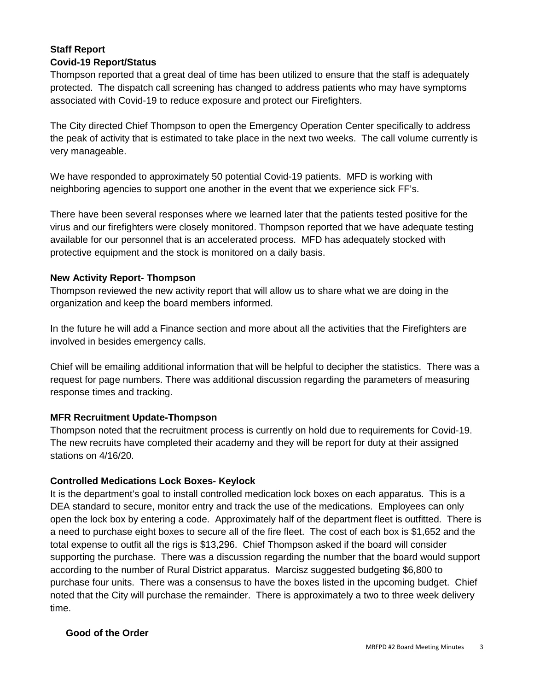## **Staff Report Covid-19 Report/Status**

Thompson reported that a great deal of time has been utilized to ensure that the staff is adequately protected. The dispatch call screening has changed to address patients who may have symptoms associated with Covid-19 to reduce exposure and protect our Firefighters.

The City directed Chief Thompson to open the Emergency Operation Center specifically to address the peak of activity that is estimated to take place in the next two weeks. The call volume currently is very manageable.

We have responded to approximately 50 potential Covid-19 patients. MFD is working with neighboring agencies to support one another in the event that we experience sick FF's.

There have been several responses where we learned later that the patients tested positive for the virus and our firefighters were closely monitored. Thompson reported that we have adequate testing available for our personnel that is an accelerated process. MFD has adequately stocked with protective equipment and the stock is monitored on a daily basis.

## **New Activity Report- Thompson**

Thompson reviewed the new activity report that will allow us to share what we are doing in the organization and keep the board members informed.

In the future he will add a Finance section and more about all the activities that the Firefighters are involved in besides emergency calls.

Chief will be emailing additional information that will be helpful to decipher the statistics. There was a request for page numbers. There was additional discussion regarding the parameters of measuring response times and tracking.

# **MFR Recruitment Update-Thompson**

Thompson noted that the recruitment process is currently on hold due to requirements for Covid-19. The new recruits have completed their academy and they will be report for duty at their assigned stations on 4/16/20.

# **Controlled Medications Lock Boxes- Keylock**

It is the department's goal to install controlled medication lock boxes on each apparatus. This is a DEA standard to secure, monitor entry and track the use of the medications. Employees can only open the lock box by entering a code. Approximately half of the department fleet is outfitted. There is a need to purchase eight boxes to secure all of the fire fleet. The cost of each box is \$1,652 and the total expense to outfit all the rigs is \$13,296. Chief Thompson asked if the board will consider supporting the purchase. There was a discussion regarding the number that the board would support according to the number of Rural District apparatus. Marcisz suggested budgeting \$6,800 to purchase four units. There was a consensus to have the boxes listed in the upcoming budget. Chief noted that the City will purchase the remainder. There is approximately a two to three week delivery time.

# **Good of the Order**